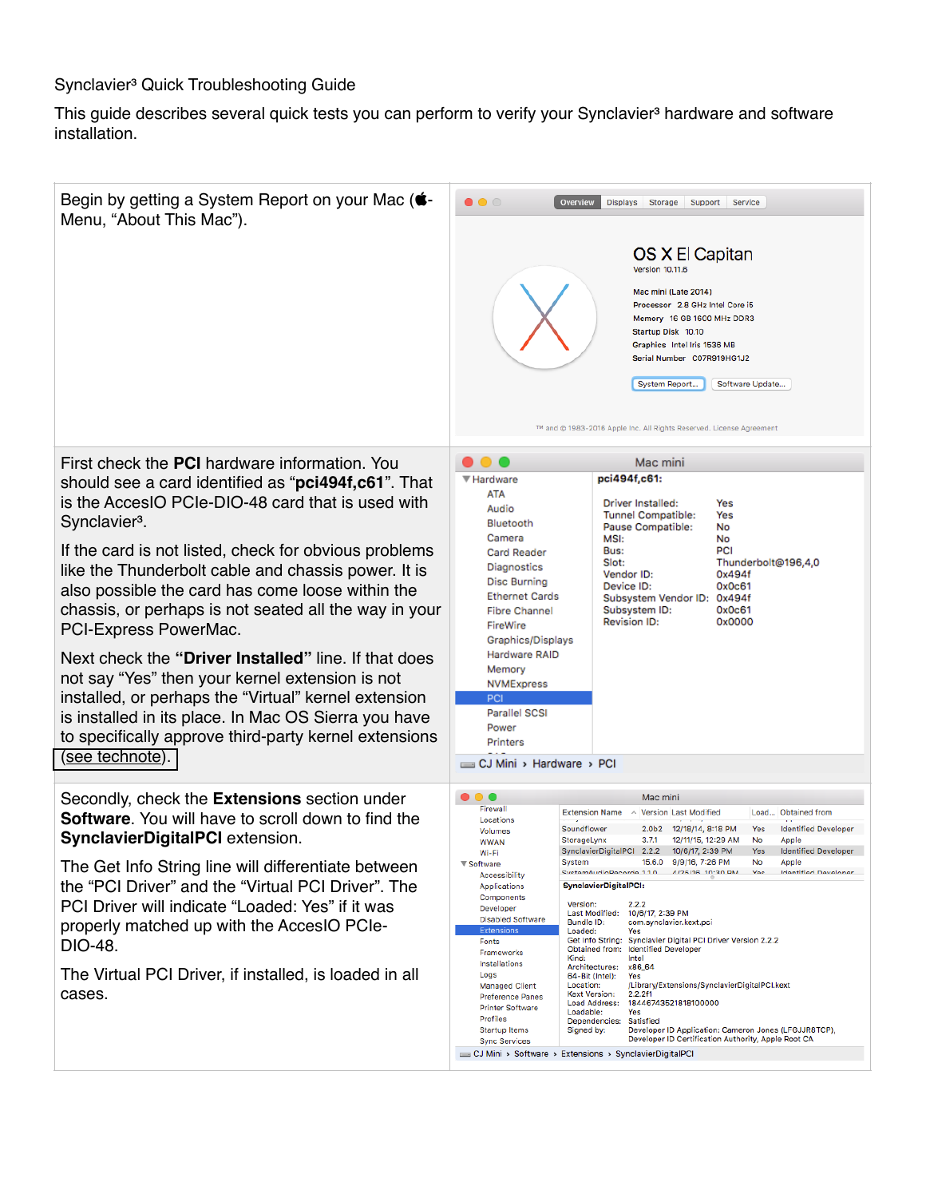## Synclavier<sup>3</sup> Quick Troubleshooting Guide

This guide describes several quick tests you can perform to verify your Synclavier<sup>3</sup> hardware and software installation.

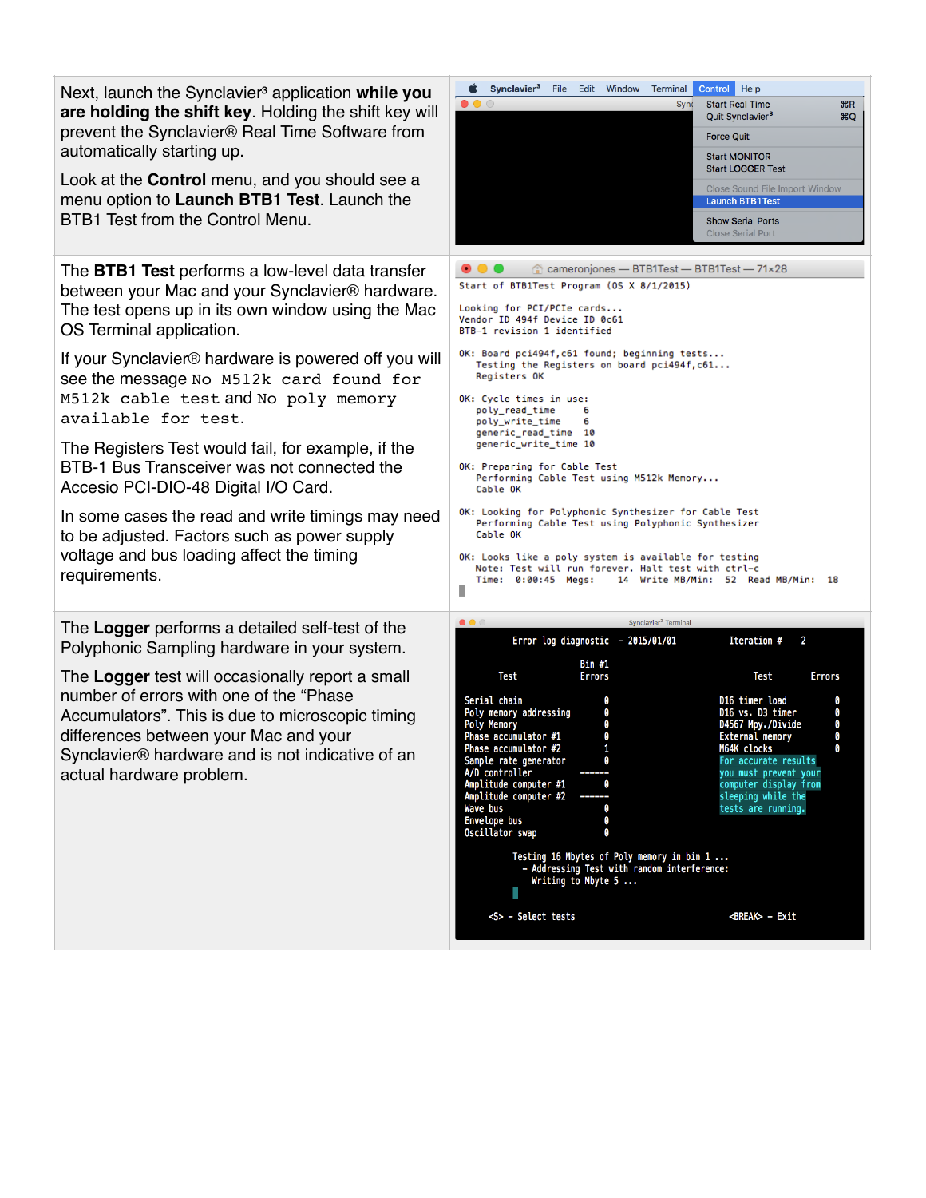| Next, launch the Synclavier <sup>3</sup> application while you<br>are holding the shift key. Holding the shift key will<br>prevent the Synclavier <sup>®</sup> Real Time Software from<br>automatically starting up.<br>Look at the <b>Control</b> menu, and you should see a<br>menu option to Launch BTB1 Test. Launch the<br>BTB1 Test from the Control Menu.<br>The <b>BTB1 Test</b> performs a low-level data transfer<br>between your Mac and your Synclavier® hardware.<br>The test opens up in its own window using the Mac<br>OS Terminal application.<br>If your Synclavier <sup>®</sup> hardware is powered off you will<br>see the message No M512k card found for<br>M512k cable test and No poly memory<br>available for test.<br>The Registers Test would fail, for example, if the<br>BTB-1 Bus Transceiver was not connected the<br>Accesio PCI-DIO-48 Digital I/O Card.<br>In some cases the read and write timings may need<br>to be adjusted. Factors such as power supply | Synclavier <sup>3</sup><br>File<br>Edit Window<br>Terminal<br>Control Help<br>$\bullet\bullet\circ$<br><b>Start Real Time</b><br>$_{\rm \#R}$<br>Sync<br>Quit Synclavier <sup>3</sup><br><b>HQ</b><br><b>Force Quit</b><br><b>Start MONITOR</b><br><b>Start LOGGER Test</b><br>Close Sound File Import Window<br><b>Launch BTB1Test</b><br><b>Show Serial Ports</b><br><b>Close Serial Port</b><br>cameronjones - BTB1Test - BTB1Test - 71×28<br>Start of BTB1Test Program (OS X 8/1/2015)<br>Looking for PCI/PCIe cards<br>Vendor ID 494f Device ID 0c61<br>BTB-1 revision 1 identified<br>OK: Board pci494f, c61 found; beginning tests<br>Testing the Registers on board pci494f, c61<br>Registers OK<br>OK: Cycle times in use:<br>poly_read_time<br>6<br>poly_write_time<br>6<br>generic_read_time 10<br>generic_write_time 10<br>OK: Preparing for Cable Test<br>Performing Cable Test using M512k Memory<br>Cable OK<br>OK: Looking for Polyphonic Synthesizer for Cable Test<br>Performing Cable Test using Polyphonic Synthesizer<br>Cable OK |
|------------------------------------------------------------------------------------------------------------------------------------------------------------------------------------------------------------------------------------------------------------------------------------------------------------------------------------------------------------------------------------------------------------------------------------------------------------------------------------------------------------------------------------------------------------------------------------------------------------------------------------------------------------------------------------------------------------------------------------------------------------------------------------------------------------------------------------------------------------------------------------------------------------------------------------------------------------------------------------------------|--------------------------------------------------------------------------------------------------------------------------------------------------------------------------------------------------------------------------------------------------------------------------------------------------------------------------------------------------------------------------------------------------------------------------------------------------------------------------------------------------------------------------------------------------------------------------------------------------------------------------------------------------------------------------------------------------------------------------------------------------------------------------------------------------------------------------------------------------------------------------------------------------------------------------------------------------------------------------------------------------------------------------------------------------------|
| voltage and bus loading affect the timing<br>requirements.<br>The Logger performs a detailed self-test of the<br>Polyphonic Sampling hardware in your system.<br>The Logger test will occasionally report a small<br>number of errors with one of the "Phase                                                                                                                                                                                                                                                                                                                                                                                                                                                                                                                                                                                                                                                                                                                                   | OK: Looks like a poly system is available for testing<br>Note: Test will run forever. Halt test with ctrl-c<br>Time: 0:00:45 Megs:<br>14 Write MB/Min: 52 Read MB/Min: 18<br>٠<br>$\bullet\bullet\circ$<br>Synclavier <sup>3</sup> Terminal<br>Error log diagnostic - 2015/01/01<br>$\mathbf{2}$<br>Iteration #<br><b>Bin #1</b><br>Test<br>Errors<br>Test<br><b>Errors</b>                                                                                                                                                                                                                                                                                                                                                                                                                                                                                                                                                                                                                                                                            |
| Accumulators". This is due to microscopic timing<br>differences between your Mac and your<br>Synclavier <sup>®</sup> hardware and is not indicative of an<br>actual hardware problem.                                                                                                                                                                                                                                                                                                                                                                                                                                                                                                                                                                                                                                                                                                                                                                                                          | 0<br>D16 timer load<br>Serial chain<br>0<br>0<br>0<br>Poly memory addressing<br>D16 vs. D3 timer<br>0<br><b>Poly Memory</b><br>D4567 Mpy./Divide<br>0<br>Phase accumulator #1<br>Ø<br>External memory<br>Ø<br>Phase accumulator #2<br>1<br>0<br><b>M64K clocks</b><br>Sample rate generator<br>For accurate results<br>0<br>A/D controller<br>you must prevent your<br>Amplitude computer #1<br>0<br>computer display from<br>Amplitude computer #2<br>sleeping while the<br>Wave bus<br>0<br>tests are running.<br><b>Envelope bus</b><br>0<br>Oscillator swap<br>0<br>Testing 16 Mbytes of Poly memory in bin 1<br>- Addressing Test with random interference:<br>Writing to Mbyte 5<br><break> - Exit<br/><s> - Select tests</s></break>                                                                                                                                                                                                                                                                                                            |